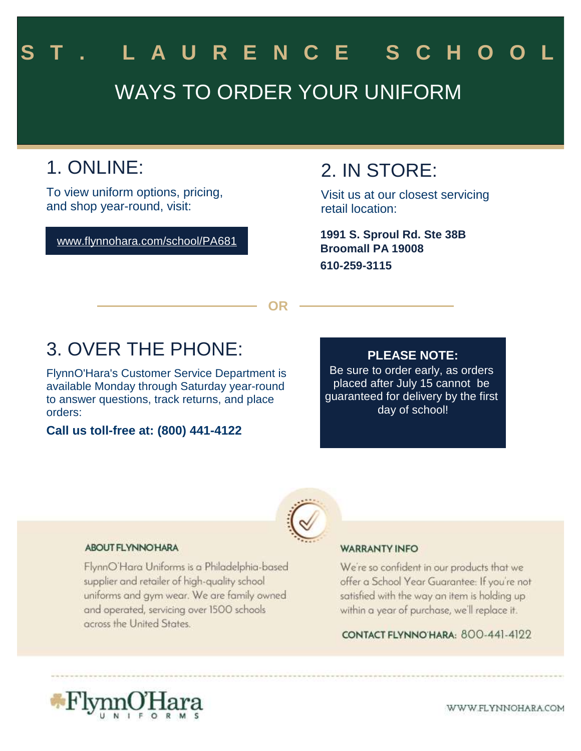# WAYS TO ORDER YOUR UNIFORM L A U R E N C E S C H O

## 1. ONLINE:

To view uniform options, pricing, and shop year-round, visit:

www.flynnohara.com/school/PA681

### 2. IN STORE:

Visit us at our closest servicing retail location:

**Broomall PA 19008 610-259-3115 1991 S. Sproul Rd. Ste 38B**

**OR**

### 3. OVER THE PHONE:

FlynnO'Hara's Customer Service Department is available Monday through Saturday year-round to answer questions, track returns, and place orders:

**Call us toll-free at: (800) 441-4122**

#### **PLEASE NOTE:**

Be sure to order early, as orders placed after July 15 cannot be guaranteed for delivery by the first day of school!



#### **ABOUT FLYNNO HARA**

FlynnO'Hara Uniforms is a Philadelphia-based supplier and retailer of high-quality school uniforms and gym wear. We are family owned and operated, servicing over 1500 schools across the United States.

#### **WARRANTY INFO**

We're so confident in our products that we offer a School Year Guarantee: If you're not satisfied with the way an item is holding up within a year of purchase, we'll replace it.

CONTACT FLYNNO HARA: 800-441-4122



WWW.FLYNNOHARA.COM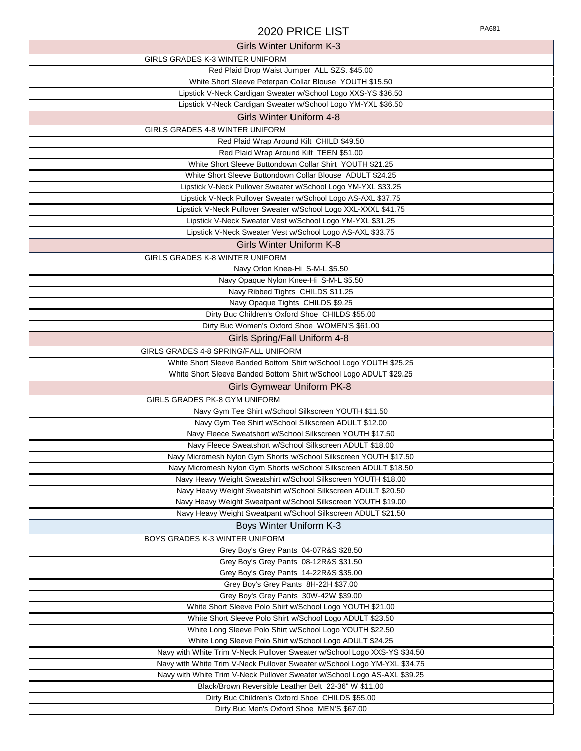#### 2020 PRICE LIST

|--|

| Girls Winter Uniform K-3                                                  |
|---------------------------------------------------------------------------|
| GIRLS GRADES K-3 WINTER UNIFORM                                           |
| Red Plaid Drop Waist Jumper ALL SZS. \$45.00                              |
| White Short Sleeve Peterpan Collar Blouse YOUTH \$15.50                   |
| Lipstick V-Neck Cardigan Sweater w/School Logo XXS-YS \$36.50             |
| Lipstick V-Neck Cardigan Sweater w/School Logo YM-YXL \$36.50             |
| <b>Girls Winter Uniform 4-8</b>                                           |
| GIRLS GRADES 4-8 WINTER UNIFORM                                           |
| Red Plaid Wrap Around Kilt CHILD \$49.50                                  |
| Red Plaid Wrap Around Kilt TEEN \$51.00                                   |
| White Short Sleeve Buttondown Collar Shirt YOUTH \$21.25                  |
| White Short Sleeve Buttondown Collar Blouse ADULT \$24.25                 |
| Lipstick V-Neck Pullover Sweater w/School Logo YM-YXL \$33.25             |
| Lipstick V-Neck Pullover Sweater w/School Logo AS-AXL \$37.75             |
| Lipstick V-Neck Pullover Sweater w/School Logo XXL-XXXL \$41.75           |
| Lipstick V-Neck Sweater Vest w/School Logo YM-YXL \$31.25                 |
| Lipstick V-Neck Sweater Vest w/School Logo AS-AXL \$33.75                 |
|                                                                           |
| <b>Girls Winter Uniform K-8</b>                                           |
| GIRLS GRADES K-8 WINTER UNIFORM                                           |
| Navy Orlon Knee-Hi S-M-L \$5.50                                           |
| Navy Opaque Nylon Knee-Hi S-M-L \$5.50                                    |
| Navy Ribbed Tights CHILDS \$11.25                                         |
| Navy Opaque Tights CHILDS \$9.25                                          |
| Dirty Buc Children's Oxford Shoe CHILDS \$55.00                           |
| Dirty Buc Women's Oxford Shoe WOMEN'S \$61.00                             |
| Girls Spring/Fall Uniform 4-8                                             |
| GIRLS GRADES 4-8 SPRING/FALL UNIFORM                                      |
| White Short Sleeve Banded Bottom Shirt w/School Logo YOUTH \$25.25        |
|                                                                           |
| White Short Sleeve Banded Bottom Shirt w/School Logo ADULT \$29.25        |
| <b>Girls Gymwear Uniform PK-8</b>                                         |
|                                                                           |
| GIRLS GRADES PK-8 GYM UNIFORM                                             |
| Navy Gym Tee Shirt w/School Silkscreen YOUTH \$11.50                      |
| Navy Gym Tee Shirt w/School Silkscreen ADULT \$12.00                      |
| Navy Fleece Sweatshort w/School Silkscreen YOUTH \$17.50                  |
| Navy Fleece Sweatshort w/School Silkscreen ADULT \$18.00                  |
| Navy Micromesh Nylon Gym Shorts w/School Silkscreen YOUTH \$17.50         |
| Navy Micromesh Nylon Gym Shorts w/School Silkscreen ADULT \$18.50         |
| Navy Heavy Weight Sweatshirt w/School Silkscreen YOUTH \$18.00            |
| Navy Heavy Weight Sweatshirt w/School Silkscreen ADULT \$20.50            |
| Navy Heavy Weight Sweatpant w/School Silkscreen YOUTH \$19.00             |
| Navy Heavy Weight Sweatpant w/School Silkscreen ADULT \$21.50             |
| Boys Winter Uniform K-3                                                   |
| BOYS GRADES K-3 WINTER UNIFORM                                            |
| Grey Boy's Grey Pants 04-07R&S \$28.50                                    |
| Grey Boy's Grey Pants 08-12R&S \$31.50                                    |
| Grey Boy's Grey Pants 14-22R&S \$35.00                                    |
| Grey Boy's Grey Pants 8H-22H \$37.00                                      |
| Grey Boy's Grey Pants 30W-42W \$39.00                                     |
| White Short Sleeve Polo Shirt w/School Logo YOUTH \$21.00                 |
| White Short Sleeve Polo Shirt w/School Logo ADULT \$23.50                 |
| White Long Sleeve Polo Shirt w/School Logo YOUTH \$22.50                  |
| White Long Sleeve Polo Shirt w/School Logo ADULT \$24.25                  |
| Navy with White Trim V-Neck Pullover Sweater w/School Logo XXS-YS \$34.50 |
| Navy with White Trim V-Neck Pullover Sweater w/School Logo YM-YXL \$34.75 |
| Navy with White Trim V-Neck Pullover Sweater w/School Logo AS-AXL \$39.25 |
| Black/Brown Reversible Leather Belt 22-36" W \$11.00                      |
| Dirty Buc Children's Oxford Shoe CHILDS \$55.00                           |